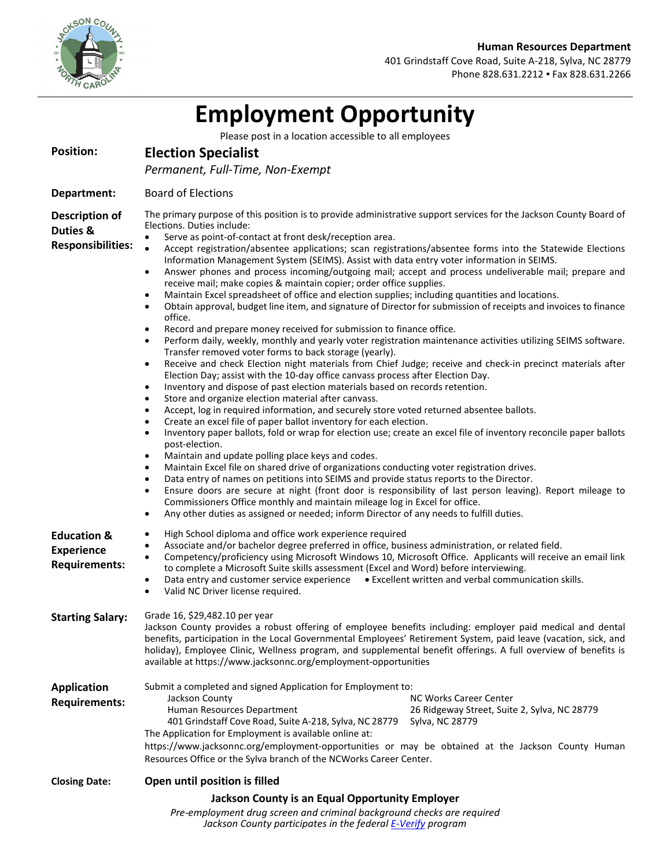



401 Grindstaff Cove Road, Suite A-218, Sylva, NC 28779 Phone 828.631.2212 · Fax 828.631.2266

|                                                                     | <b>Employment Opportunity</b>                                                                                                                                                                                                                                                                                                                                                                                                                                                                                                                                                                                                                                                                                                                                                                                                                                                                                                                                                                                                                                                                                                                                                                                                                                                                                                                                                                                                                                                                                                                                                                                                                                                                                                                                                                                                                                                                                                                                                                                                                                                                                                                                                                                                                                                                                                                                                                                                                 |
|---------------------------------------------------------------------|-----------------------------------------------------------------------------------------------------------------------------------------------------------------------------------------------------------------------------------------------------------------------------------------------------------------------------------------------------------------------------------------------------------------------------------------------------------------------------------------------------------------------------------------------------------------------------------------------------------------------------------------------------------------------------------------------------------------------------------------------------------------------------------------------------------------------------------------------------------------------------------------------------------------------------------------------------------------------------------------------------------------------------------------------------------------------------------------------------------------------------------------------------------------------------------------------------------------------------------------------------------------------------------------------------------------------------------------------------------------------------------------------------------------------------------------------------------------------------------------------------------------------------------------------------------------------------------------------------------------------------------------------------------------------------------------------------------------------------------------------------------------------------------------------------------------------------------------------------------------------------------------------------------------------------------------------------------------------------------------------------------------------------------------------------------------------------------------------------------------------------------------------------------------------------------------------------------------------------------------------------------------------------------------------------------------------------------------------------------------------------------------------------------------------------------------------|
|                                                                     | Please post in a location accessible to all employees                                                                                                                                                                                                                                                                                                                                                                                                                                                                                                                                                                                                                                                                                                                                                                                                                                                                                                                                                                                                                                                                                                                                                                                                                                                                                                                                                                                                                                                                                                                                                                                                                                                                                                                                                                                                                                                                                                                                                                                                                                                                                                                                                                                                                                                                                                                                                                                         |
| <b>Position:</b>                                                    | <b>Election Specialist</b>                                                                                                                                                                                                                                                                                                                                                                                                                                                                                                                                                                                                                                                                                                                                                                                                                                                                                                                                                                                                                                                                                                                                                                                                                                                                                                                                                                                                                                                                                                                                                                                                                                                                                                                                                                                                                                                                                                                                                                                                                                                                                                                                                                                                                                                                                                                                                                                                                    |
|                                                                     | Permanent, Full-Time, Non-Exempt                                                                                                                                                                                                                                                                                                                                                                                                                                                                                                                                                                                                                                                                                                                                                                                                                                                                                                                                                                                                                                                                                                                                                                                                                                                                                                                                                                                                                                                                                                                                                                                                                                                                                                                                                                                                                                                                                                                                                                                                                                                                                                                                                                                                                                                                                                                                                                                                              |
| Department:                                                         | <b>Board of Elections</b>                                                                                                                                                                                                                                                                                                                                                                                                                                                                                                                                                                                                                                                                                                                                                                                                                                                                                                                                                                                                                                                                                                                                                                                                                                                                                                                                                                                                                                                                                                                                                                                                                                                                                                                                                                                                                                                                                                                                                                                                                                                                                                                                                                                                                                                                                                                                                                                                                     |
| <b>Description of</b><br>Duties &<br><b>Responsibilities:</b>       | The primary purpose of this position is to provide administrative support services for the Jackson County Board of<br>Elections. Duties include:<br>Serve as point-of-contact at front desk/reception area.<br>$\bullet$<br>Accept registration/absentee applications; scan registrations/absentee forms into the Statewide Elections<br>$\bullet$<br>Information Management System (SEIMS). Assist with data entry voter information in SEIMS.<br>Answer phones and process incoming/outgoing mail; accept and process undeliverable mail; prepare and<br>٠<br>receive mail; make copies & maintain copier; order office supplies.<br>Maintain Excel spreadsheet of office and election supplies; including quantities and locations.<br>٠<br>Obtain approval, budget line item, and signature of Director for submission of receipts and invoices to finance<br>٠<br>office.<br>Record and prepare money received for submission to finance office.<br>$\bullet$<br>Perform daily, weekly, monthly and yearly voter registration maintenance activities utilizing SEIMS software.<br>٠<br>Transfer removed voter forms to back storage (yearly).<br>Receive and check Election night materials from Chief Judge; receive and check-in precinct materials after<br>٠<br>Election Day; assist with the 10-day office canvass process after Election Day.<br>Inventory and dispose of past election materials based on records retention.<br>$\bullet$<br>Store and organize election material after canvass.<br>٠<br>Accept, log in required information, and securely store voted returned absentee ballots.<br>$\bullet$<br>Create an excel file of paper ballot inventory for each election.<br>$\bullet$<br>Inventory paper ballots, fold or wrap for election use; create an excel file of inventory reconcile paper ballots<br>$\bullet$<br>post-election.<br>Maintain and update polling place keys and codes.<br>٠<br>Maintain Excel file on shared drive of organizations conducting voter registration drives.<br>$\bullet$<br>Data entry of names on petitions into SEIMS and provide status reports to the Director.<br>٠<br>Ensure doors are secure at night (front door is responsibility of last person leaving). Report mileage to<br>٠<br>Commissioners Office monthly and maintain mileage log in Excel for office.<br>Any other duties as assigned or needed; inform Director of any needs to fulfill duties.<br>$\bullet$ |
| <b>Education &amp;</b><br><b>Experience</b><br><b>Requirements:</b> | High School diploma and office work experience required<br>$\bullet$<br>Associate and/or bachelor degree preferred in office, business administration, or related field.<br>٠<br>Competency/proficiency using Microsoft Windows 10, Microsoft Office. Applicants will receive an email link<br>$\bullet$<br>to complete a Microsoft Suite skills assessment (Excel and Word) before interviewing.<br>Data entry and customer service experience • Excellent written and verbal communication skills.<br>$\bullet$<br>Valid NC Driver license required.<br>٠                                                                                                                                                                                                                                                                                                                                                                                                                                                                                                                                                                                                                                                                                                                                                                                                                                                                                                                                                                                                                                                                                                                                                                                                                                                                                                                                                                                                                                                                                                                                                                                                                                                                                                                                                                                                                                                                                   |
| <b>Starting Salary:</b>                                             | Grade 16, \$29,482.10 per year<br>Jackson County provides a robust offering of employee benefits including: employer paid medical and dental<br>benefits, participation in the Local Governmental Employees' Retirement System, paid leave (vacation, sick, and<br>holiday), Employee Clinic, Wellness program, and supplemental benefit offerings. A full overview of benefits is<br>available at https://www.jacksonnc.org/employment-opportunities                                                                                                                                                                                                                                                                                                                                                                                                                                                                                                                                                                                                                                                                                                                                                                                                                                                                                                                                                                                                                                                                                                                                                                                                                                                                                                                                                                                                                                                                                                                                                                                                                                                                                                                                                                                                                                                                                                                                                                                         |
| <b>Application</b><br><b>Requirements:</b>                          | Submit a completed and signed Application for Employment to:<br>Jackson County<br>NC Works Career Center<br>Human Resources Department<br>26 Ridgeway Street, Suite 2, Sylva, NC 28779<br>401 Grindstaff Cove Road, Suite A-218, Sylva, NC 28779<br>Sylva, NC 28779<br>The Application for Employment is available online at:<br>https://www.jacksonnc.org/employment-opportunities or may be obtained at the Jackson County Human<br>Resources Office or the Sylva branch of the NCWorks Career Center.                                                                                                                                                                                                                                                                                                                                                                                                                                                                                                                                                                                                                                                                                                                                                                                                                                                                                                                                                                                                                                                                                                                                                                                                                                                                                                                                                                                                                                                                                                                                                                                                                                                                                                                                                                                                                                                                                                                                      |
| <b>Closing Date:</b>                                                | Open until position is filled                                                                                                                                                                                                                                                                                                                                                                                                                                                                                                                                                                                                                                                                                                                                                                                                                                                                                                                                                                                                                                                                                                                                                                                                                                                                                                                                                                                                                                                                                                                                                                                                                                                                                                                                                                                                                                                                                                                                                                                                                                                                                                                                                                                                                                                                                                                                                                                                                 |
|                                                                     | Jackson County is an Equal Opportunity Employer<br>Pre-employment drug screen and criminal background checks are required                                                                                                                                                                                                                                                                                                                                                                                                                                                                                                                                                                                                                                                                                                                                                                                                                                                                                                                                                                                                                                                                                                                                                                                                                                                                                                                                                                                                                                                                                                                                                                                                                                                                                                                                                                                                                                                                                                                                                                                                                                                                                                                                                                                                                                                                                                                     |

*Jackson County participates in the federa[l E-Verify](http://www.uscis.gov/portal/site/uscis/menuitem.eb1d4c2a3e5b9ac89243c6a7543f6d1a/?vgnextoid=75bce2e261405110VgnVCM1000004718190aRCRD&vgnextchannel=75bce2e261405110VgnVCM1000004718190aRCRD) program*